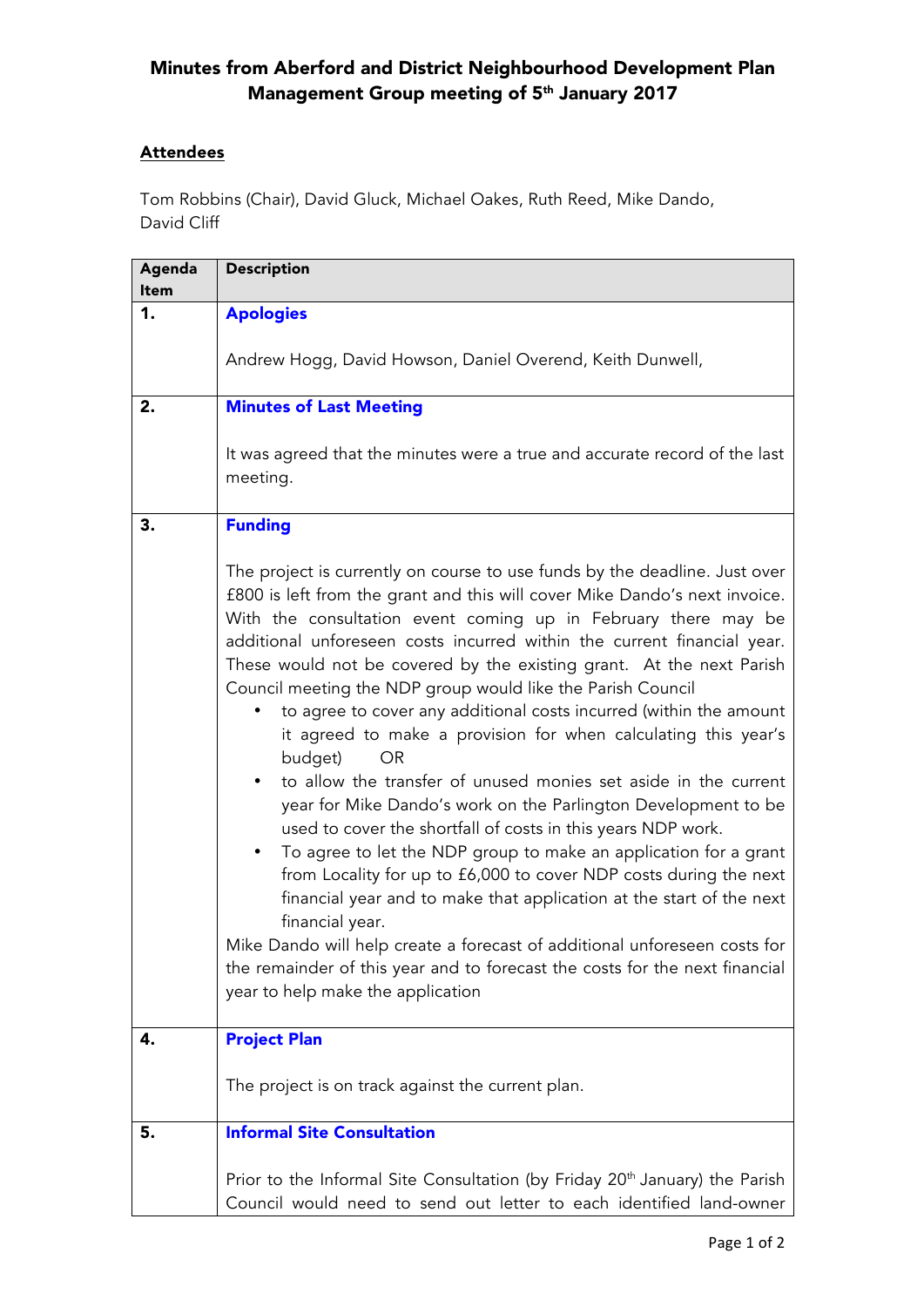## Minutes from Aberford and District Neighbourhood Development Plan Management Group meeting of 5th January 2017

## **Attendees**

Tom Robbins (Chair), David Gluck, Michael Oakes, Ruth Reed, Mike Dando, David Cliff

| Agenda<br><b>Item</b> | <b>Description</b>                                                                                                                                                                                                                                                                                                                                                                                                                                                                                                                                                                                                                                                                                                                                                                                                                                                                                                                                                                                                                                                                                                                                                                                                                                                 |
|-----------------------|--------------------------------------------------------------------------------------------------------------------------------------------------------------------------------------------------------------------------------------------------------------------------------------------------------------------------------------------------------------------------------------------------------------------------------------------------------------------------------------------------------------------------------------------------------------------------------------------------------------------------------------------------------------------------------------------------------------------------------------------------------------------------------------------------------------------------------------------------------------------------------------------------------------------------------------------------------------------------------------------------------------------------------------------------------------------------------------------------------------------------------------------------------------------------------------------------------------------------------------------------------------------|
| 1.                    | <b>Apologies</b>                                                                                                                                                                                                                                                                                                                                                                                                                                                                                                                                                                                                                                                                                                                                                                                                                                                                                                                                                                                                                                                                                                                                                                                                                                                   |
|                       | Andrew Hogg, David Howson, Daniel Overend, Keith Dunwell,                                                                                                                                                                                                                                                                                                                                                                                                                                                                                                                                                                                                                                                                                                                                                                                                                                                                                                                                                                                                                                                                                                                                                                                                          |
| 2.                    | <b>Minutes of Last Meeting</b>                                                                                                                                                                                                                                                                                                                                                                                                                                                                                                                                                                                                                                                                                                                                                                                                                                                                                                                                                                                                                                                                                                                                                                                                                                     |
|                       | It was agreed that the minutes were a true and accurate record of the last<br>meeting.                                                                                                                                                                                                                                                                                                                                                                                                                                                                                                                                                                                                                                                                                                                                                                                                                                                                                                                                                                                                                                                                                                                                                                             |
| 3.                    | <b>Funding</b>                                                                                                                                                                                                                                                                                                                                                                                                                                                                                                                                                                                                                                                                                                                                                                                                                                                                                                                                                                                                                                                                                                                                                                                                                                                     |
|                       | The project is currently on course to use funds by the deadline. Just over<br>£800 is left from the grant and this will cover Mike Dando's next invoice.<br>With the consultation event coming up in February there may be<br>additional unforeseen costs incurred within the current financial year.<br>These would not be covered by the existing grant. At the next Parish<br>Council meeting the NDP group would like the Parish Council<br>to agree to cover any additional costs incurred (within the amount<br>it agreed to make a provision for when calculating this year's<br>budget)<br>OR.<br>to allow the transfer of unused monies set aside in the current<br>٠<br>year for Mike Dando's work on the Parlington Development to be<br>used to cover the shortfall of costs in this years NDP work.<br>To agree to let the NDP group to make an application for a grant<br>$\bullet$<br>from Locality for up to £6,000 to cover NDP costs during the next<br>financial year and to make that application at the start of the next<br>financial year.<br>Mike Dando will help create a forecast of additional unforeseen costs for<br>the remainder of this year and to forecast the costs for the next financial<br>year to help make the application |
| 4.                    | <b>Project Plan</b>                                                                                                                                                                                                                                                                                                                                                                                                                                                                                                                                                                                                                                                                                                                                                                                                                                                                                                                                                                                                                                                                                                                                                                                                                                                |
|                       | The project is on track against the current plan.                                                                                                                                                                                                                                                                                                                                                                                                                                                                                                                                                                                                                                                                                                                                                                                                                                                                                                                                                                                                                                                                                                                                                                                                                  |
| 5.                    | <b>Informal Site Consultation</b>                                                                                                                                                                                                                                                                                                                                                                                                                                                                                                                                                                                                                                                                                                                                                                                                                                                                                                                                                                                                                                                                                                                                                                                                                                  |
|                       | Prior to the Informal Site Consultation (by Friday 20 <sup>th</sup> January) the Parish<br>Council would need to send out letter to each identified land-owner                                                                                                                                                                                                                                                                                                                                                                                                                                                                                                                                                                                                                                                                                                                                                                                                                                                                                                                                                                                                                                                                                                     |